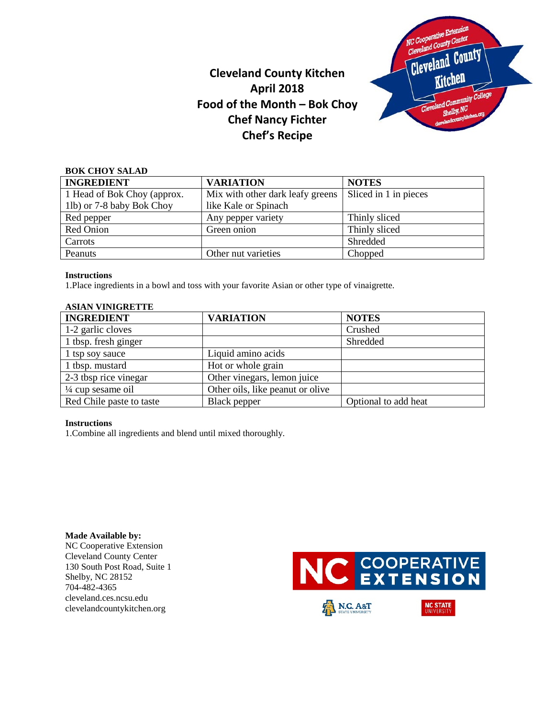

# **Cleveland County Kitchen April 2018 Food of the Month – Bok Choy Chef Nancy Fichter Chef's Recipe**

| <b>BOK CHOY SALAD</b>       |                                  |                       |  |  |
|-----------------------------|----------------------------------|-----------------------|--|--|
| <b>INGREDIENT</b>           | <b>VARIATION</b>                 | <b>NOTES</b>          |  |  |
| 1 Head of Bok Choy (approx. | Mix with other dark leafy greens | Sliced in 1 in pieces |  |  |
| 1lb) or 7-8 baby Bok Choy   | like Kale or Spinach             |                       |  |  |
| Red pepper                  | Any pepper variety               | Thinly sliced         |  |  |
| Red Onion                   | Green onion                      | Thinly sliced         |  |  |
| Carrots                     |                                  | Shredded              |  |  |
| Peanuts                     | Other nut varieties              | Chopped               |  |  |

### **Instructions**

1.Place ingredients in a bowl and toss with your favorite Asian or other type of vinaigrette.

# **ASIAN VINIGRETTE**

| <b>INGREDIENT</b>            | <b>VARIATION</b>                 | <b>NOTES</b>         |  |  |
|------------------------------|----------------------------------|----------------------|--|--|
| 1-2 garlic cloves            |                                  | Crushed              |  |  |
| 1 tbsp. fresh ginger         |                                  | Shredded             |  |  |
| 1 tsp soy sauce              | Liquid amino acids               |                      |  |  |
| 1 tbsp. mustard              | Hot or whole grain               |                      |  |  |
| 2-3 tbsp rice vinegar        | Other vinegars, lemon juice      |                      |  |  |
| $\frac{1}{4}$ cup sesame oil | Other oils, like peanut or olive |                      |  |  |
| Red Chile paste to taste     | Black pepper                     | Optional to add heat |  |  |

#### **Instructions**

1.Combine all ingredients and blend until mixed thoroughly.

**Made Available by:**  NC Cooperative Extension Cleveland County Center 130 South Post Road, Suite 1 Shelby, NC 28152 704-482-4365 cleveland.ces.ncsu.edu clevelandcountykitchen.org

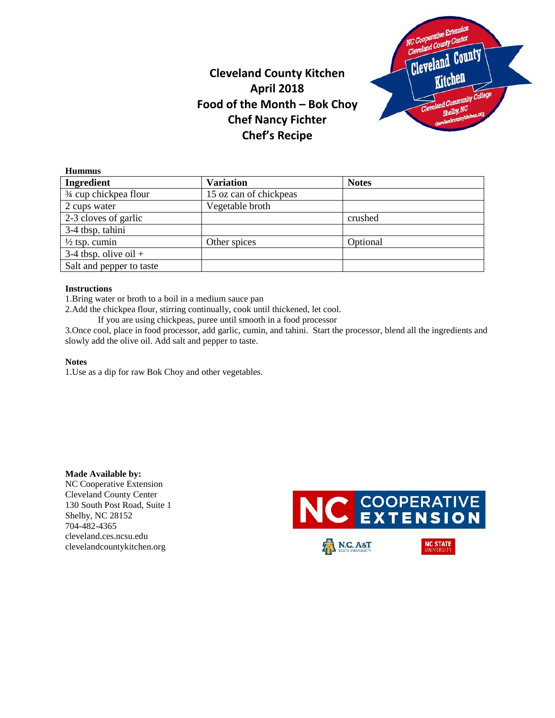

# **Cleveland County Kitchen April 2018 Food of the Month – Bok Choy Chef Nancy Fichter Chef's Recipe**

| <b>Variation</b>       | <b>Notes</b> |
|------------------------|--------------|
| 15 oz can of chickpeas |              |
| Vegetable broth        |              |
|                        | crushed      |
|                        |              |
| Other spices           | Optional     |
|                        |              |
|                        |              |
|                        |              |

### **Instructions**

1.Bring water or broth to a boil in a medium sauce pan

2.Add the chickpea flour, stirring continually, cook until thickened, let cool.

If you are using chickpeas, puree until smooth in a food processor

3.Once cool, place in food processor, add garlic, cumin, and tahini. Start the processor, blend all the ingredients and slowly add the olive oil. Add salt and pepper to taste.

#### **Notes**

1.Use as a dip for raw Bok Choy and other vegetables.

**Made Available by:**  NC Cooperative Extension Cleveland County Center 130 South Post Road, Suite 1 Shelby, NC 28152 704-482-4365 cleveland.ces.ncsu.edu clevelandcountykitchen.org